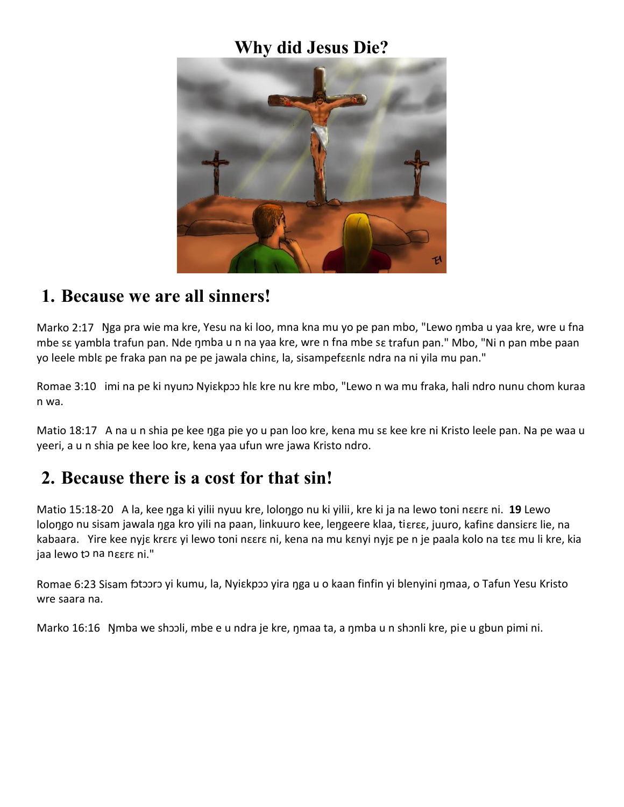# **Why did Jesus Die?**



#### **1. Because we are all sinners!**

Marko 2:17 Ŋga pra wie ma kre, Yesu na ki loo, mna kna mu yo pe pan mbo, "Lewo ŋmba u yaa kre, wre u fna mbe sɛ yambla trafun pan. Nde ŋmba u n na yaa kre, wre n fna mbe sɛ trafun pan." Mbo, "Ni n pan mbe paan yo leele mblɛ pe fraka pan na pe pe jawala chinɛ, la, sisampefɛɛnlɛ ndra na ni yila mu pan."

Romae 3:10 imi na pe ki nyunɔ Nyiɛkpɔɔ hlɛ kre nu kre mbo, "Lewo n wa mu fraka, hali ndro nunu chom kuraa n wa.

Matio 18:17 A na u n shia pe kee ŋga pie yo u pan loo kre, kena mu sɛ kee kre ni Kristo leele pan. Na pe waa u yeeri, a u n shia pe kee loo kre, kena yaa ufun wre jawa Kristo ndro.

### **2. Because there is a cost for that sin!**

Matio 15:18-20 A la, kee ŋga ki yilii nyuu kre, loloŋgo nu ki yilii, kre ki ja na lewo toni nɛɛrɛ ni. **19** Lewo loloŋgo nu sisam jawala ŋga kro yili na paan, linkuuro kee, leŋgeere klaa, tiɛrɛɛ, juuro, kafinɛ dansiɛrɛ lie, na kabaara. Yire kee nyjɛ krɛrɛ yi lewo toni nɛɛrɛ ni, kena na mu kɛnyi nyjɛ pe n je paala kolo na tɛɛ mu li kre, kia jaa lewo tↄ na nɛɛrɛ ni."

Romae 6:23 Sisam fɔtɔɔrɔ yi kumu, la, Nyiɛkpɔɔ yira ŋga u o kaan finfin yi blenyini ŋmaa, o Tafun Yesu Kristo wre saara na.

Marko 16:16 Nmba we shɔɔli, mbe e u ndra je kre, ŋmaa ta, a ŋmba u n shɔnli kre, pie u gbun pimi ni.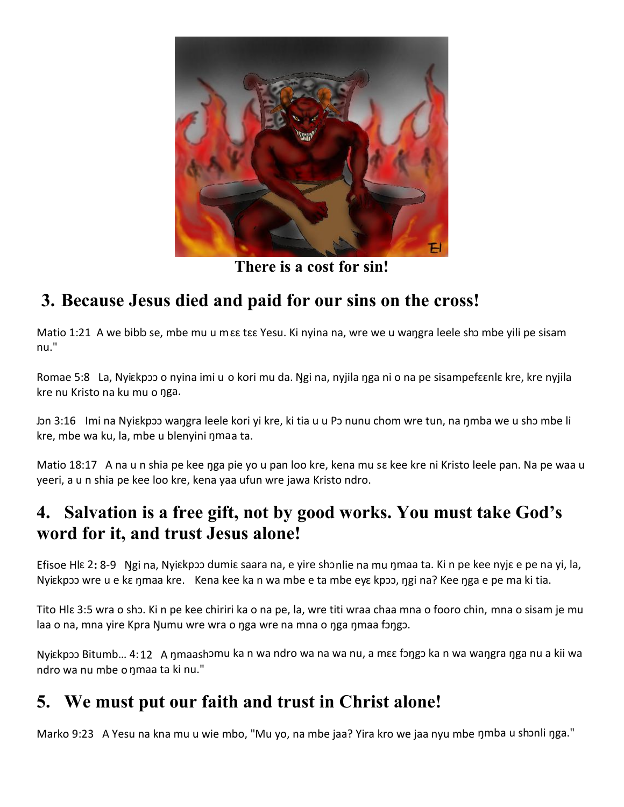

**There is a cost for sin!**

# **3. Because Jesus died and paid for our sins on the cross!**

Matio 1:21 A we bibb se, mbe mu u mεε tεε Yesu. Ki nyina na, wre we u wangra leele sho mbe yili pe sisam nu."

Romae 5:8 La, Nyiεkpɔɔ o nyina imi u o kori mu da. Ngi na, nyjila nga ni o na pe sisampefεεnlε kre, kre nyjila kre nu Kristo na ku mu o ŋga.

Jɔn 3:16 Imi na Nyiɛkpɔɔ wangra leele kori yi kre, ki tia u u Pɔ nunu chom wre tun, na ŋmba we u shɔ mbe li kre, mbe wa ku, la, mbe u blenyini ŋmaa ta.

Matio 18:17 A na u n shia pe kee nga pie yo u pan loo kre, kena mu sɛ kee kre ni Kristo leele pan. Na pe waa u yeeri, a u n shia pe kee loo kre, kena yaa ufun wre jawa Kristo ndro.

### **4. Salvation is a free gift, not by good works. You must take God's word for it, and trust Jesus alone!**

Efisoe Hlɛ 2**:** 8-9 Ŋgi na, Nyiɛkpↄↄ dumiɛ saara na, e yire shↄnlie na mu ŋmaa ta. Ki n pe kee nyjɛ e pe na yi, la, Nyiɛkpↄↄ wre u e kɛ ŋmaa kre. Kena kee ka n wa mbe e ta mbe eyɛ kpↄↄ, ŋgi na? Kee ŋga e pe ma ki tia.

Tito Hlɛ 3:5 wra o shↄ. Ki n pe kee chiriri ka o na pe, la, wre titi wraa chaa mna o fooro chin, mna o sisam je mu laa o na, mna yire Kpra Ŋumu wre wra o ŋga wre na mna o ŋga ŋmaa fↄŋgↄ.

Nyiɛkpɔɔ Bitumb... 4:12 A ŋmaashɔmu ka n wa ndro wa na wa nu, a mɛɛ fɔŋgɔ ka n wa waŋgra ŋga nu a kii wa ndro wa nu mbe o nmaa ta ki nu."

# **5. We must put our faith and trust in Christ alone!**

Marko 9:23 A Yesu na kna mu u wie mbo, "Mu yo, na mbe jaa? Yira kro we jaa nyu mbe ŋmba u shɔnli ŋga."